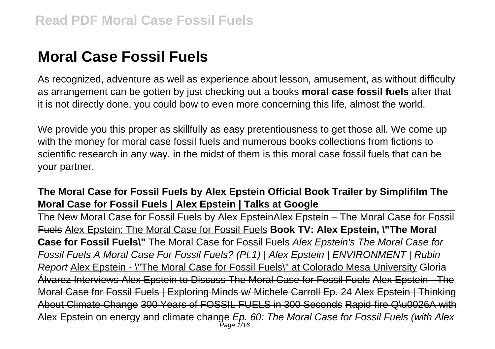# **Moral Case Fossil Fuels**

As recognized, adventure as well as experience about lesson, amusement, as without difficulty as arrangement can be gotten by just checking out a books **moral case fossil fuels** after that it is not directly done, you could bow to even more concerning this life, almost the world.

We provide you this proper as skillfully as easy pretentiousness to get those all. We come up with the money for moral case fossil fuels and numerous books collections from fictions to scientific research in any way. in the midst of them is this moral case fossil fuels that can be your partner.

### **The Moral Case for Fossil Fuels by Alex Epstein Official Book Trailer by Simplifilm The Moral Case for Fossil Fuels | Alex Epstein | Talks at Google**

The New Moral Case for Fossil Fuels by Alex EpsteinAlex Epstein – The Moral Case for Fossil Fuels Alex Epstein: The Moral Case for Fossil Fuels **Book TV: Alex Epstein, \"The Moral Case for Fossil Fuels\"** The Moral Case for Fossil Fuels Alex Epstein's The Moral Case for Fossil Fuels A Moral Case For Fossil Fuels? (Pt.1) | Alex Epstein | ENVIRONMENT | Rubin Report Alex Epstein - \"The Moral Case for Fossil Fuels\" at Colorado Mesa University Gloria Álvarez Interviews Alex Epstein to Discuss The Moral Case for Fossil Fuels Alex Epstein - The Moral Case for Fossil Fuels | Exploring Minds w/ Michele Carroll Ep. 24 Alex Epstein | Thinking About Climate Change 300 Years of FOSSIL FUELS in 300 Seconds Rapid-fire Q\u0026A with Alex Epstein on energy and climate change *Ep. 60: The Moral Case for Fossil Fuels (with Alex*<br>Page 1/16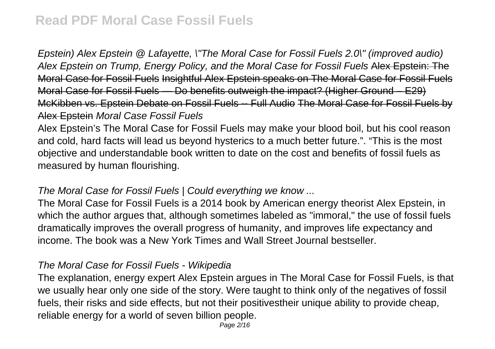Epstein) Alex Epstein @ Lafayette, \"The Moral Case for Fossil Fuels 2.0\" (improved audio) Alex Epstein on Trump, Energy Policy, and the Moral Case for Fossil Fuels Alex Epstein: The Moral Case for Fossil Fuels Insightful Alex Epstein speaks on The Moral Case for Fossil Fuels Moral Case for Fossil Fuels — Do benefits outweigh the impact? (Higher Ground – E29) McKibben vs. Epstein Debate on Fossil Fuels -- Full Audio The Moral Case for Fossil Fuels by Alex Epstein Moral Case Fossil Fuels

Alex Epstein's The Moral Case for Fossil Fuels may make your blood boil, but his cool reason and cold, hard facts will lead us beyond hysterics to a much better future.". "This is the most objective and understandable book written to date on the cost and benefits of fossil fuels as measured by human flourishing.

#### The Moral Case for Fossil Fuels | Could everything we know ...

The Moral Case for Fossil Fuels is a 2014 book by American energy theorist Alex Epstein, in which the author argues that, although sometimes labeled as "immoral," the use of fossil fuels dramatically improves the overall progress of humanity, and improves life expectancy and income. The book was a New York Times and Wall Street Journal bestseller.

#### The Moral Case for Fossil Fuels - Wikipedia

The explanation, energy expert Alex Epstein argues in The Moral Case for Fossil Fuels, is that we usually hear only one side of the story. Were taught to think only of the negatives of fossil fuels, their risks and side effects, but not their positivestheir unique ability to provide cheap, reliable energy for a world of seven billion people.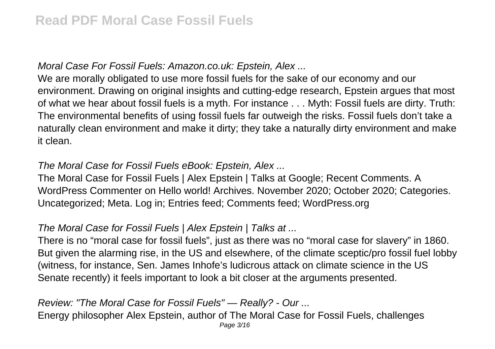### Moral Case For Fossil Fuels: Amazon.co.uk: Epstein, Alex ...

We are morally obligated to use more fossil fuels for the sake of our economy and our environment. Drawing on original insights and cutting-edge research, Epstein argues that most of what we hear about fossil fuels is a myth. For instance . . . Myth: Fossil fuels are dirty. Truth: The environmental benefits of using fossil fuels far outweigh the risks. Fossil fuels don't take a naturally clean environment and make it dirty; they take a naturally dirty environment and make it clean.

#### The Moral Case for Fossil Fuels eBook: Epstein, Alex ...

The Moral Case for Fossil Fuels | Alex Epstein | Talks at Google; Recent Comments. A WordPress Commenter on Hello world! Archives. November 2020; October 2020; Categories. Uncategorized; Meta. Log in; Entries feed; Comments feed; WordPress.org

### The Moral Case for Fossil Fuels | Alex Epstein | Talks at ...

There is no "moral case for fossil fuels", just as there was no "moral case for slavery" in 1860. But given the alarming rise, in the US and elsewhere, of the climate sceptic/pro fossil fuel lobby (witness, for instance, Sen. James Inhofe's ludicrous attack on climate science in the US Senate recently) it feels important to look a bit closer at the arguments presented.

Review: "The Moral Case for Fossil Fuels" — Really? - Our ... Energy philosopher Alex Epstein, author of The Moral Case for Fossil Fuels, challenges Page 3/16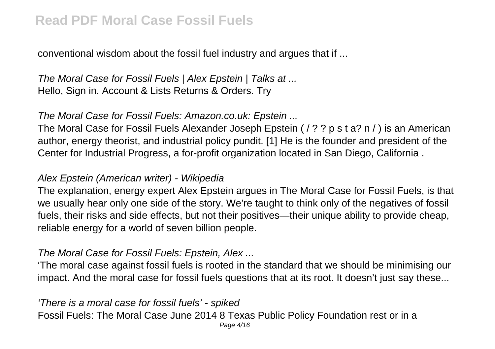conventional wisdom about the fossil fuel industry and argues that if ...

The Moral Case for Fossil Fuels | Alex Epstein | Talks at ... Hello, Sign in. Account & Lists Returns & Orders. Try

### The Moral Case for Fossil Fuels: Amazon.co.uk: Epstein ...

The Moral Case for Fossil Fuels Alexander Joseph Epstein ( / ? ? p s t a? n / ) is an American author, energy theorist, and industrial policy pundit. [1] He is the founder and president of the Center for Industrial Progress, a for-profit organization located in San Diego, California .

### Alex Epstein (American writer) - Wikipedia

The explanation, energy expert Alex Epstein argues in The Moral Case for Fossil Fuels, is that we usually hear only one side of the story. We're taught to think only of the negatives of fossil fuels, their risks and side effects, but not their positives—their unique ability to provide cheap, reliable energy for a world of seven billion people.

#### The Moral Case for Fossil Fuels: Epstein, Alex ...

'The moral case against fossil fuels is rooted in the standard that we should be minimising our impact. And the moral case for fossil fuels questions that at its root. It doesn't just say these...

'There is a moral case for fossil fuels' - spiked Fossil Fuels: The Moral Case June 2014 8 Texas Public Policy Foundation rest or in a Page 4/16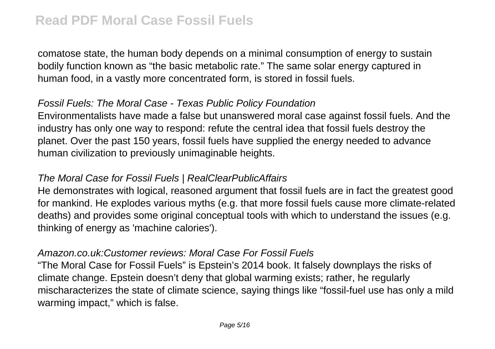comatose state, the human body depends on a minimal consumption of energy to sustain bodily function known as "the basic metabolic rate." The same solar energy captured in human food, in a vastly more concentrated form, is stored in fossil fuels.

#### Fossil Fuels: The Moral Case - Texas Public Policy Foundation

Environmentalists have made a false but unanswered moral case against fossil fuels. And the industry has only one way to respond: refute the central idea that fossil fuels destroy the planet. Over the past 150 years, fossil fuels have supplied the energy needed to advance human civilization to previously unimaginable heights.

#### The Moral Case for Fossil Fuels | RealClearPublicAffairs

He demonstrates with logical, reasoned argument that fossil fuels are in fact the greatest good for mankind. He explodes various myths (e.g. that more fossil fuels cause more climate-related deaths) and provides some original conceptual tools with which to understand the issues (e.g. thinking of energy as 'machine calories').

#### Amazon.co.uk:Customer reviews: Moral Case For Fossil Fuels

"The Moral Case for Fossil Fuels" is Epstein's 2014 book. It falsely downplays the risks of climate change. Epstein doesn't deny that global warming exists; rather, he regularly mischaracterizes the state of climate science, saying things like "fossil-fuel use has only a mild warming impact," which is false.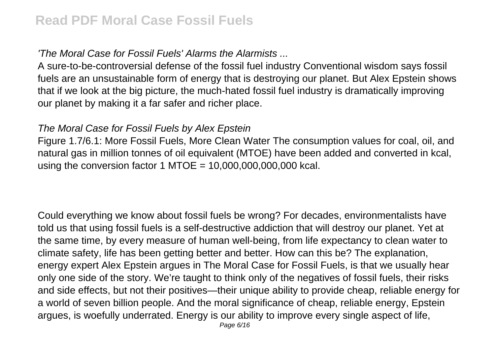'The Moral Case for Fossil Fuels' Alarms the Alarmists ...

A sure-to-be-controversial defense of the fossil fuel industry Conventional wisdom says fossil fuels are an unsustainable form of energy that is destroying our planet. But Alex Epstein shows that if we look at the big picture, the much-hated fossil fuel industry is dramatically improving our planet by making it a far safer and richer place.

#### The Moral Case for Fossil Fuels by Alex Epstein

Figure 1.7/6.1: More Fossil Fuels, More Clean Water The consumption values for coal, oil, and natural gas in million tonnes of oil equivalent (MTOE) have been added and converted in kcal, using the conversion factor 1 MTOE =  $10,000,000,000,000$  kcal.

Could everything we know about fossil fuels be wrong? For decades, environmentalists have told us that using fossil fuels is a self-destructive addiction that will destroy our planet. Yet at the same time, by every measure of human well-being, from life expectancy to clean water to climate safety, life has been getting better and better. How can this be? The explanation, energy expert Alex Epstein argues in The Moral Case for Fossil Fuels, is that we usually hear only one side of the story. We're taught to think only of the negatives of fossil fuels, their risks and side effects, but not their positives—their unique ability to provide cheap, reliable energy for a world of seven billion people. And the moral significance of cheap, reliable energy, Epstein argues, is woefully underrated. Energy is our ability to improve every single aspect of life,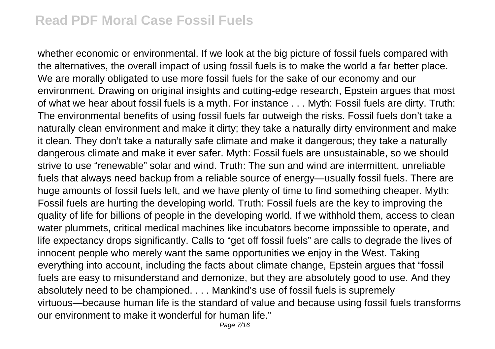whether economic or environmental. If we look at the big picture of fossil fuels compared with the alternatives, the overall impact of using fossil fuels is to make the world a far better place. We are morally obligated to use more fossil fuels for the sake of our economy and our environment. Drawing on original insights and cutting-edge research, Epstein argues that most of what we hear about fossil fuels is a myth. For instance . . . Myth: Fossil fuels are dirty. Truth: The environmental benefits of using fossil fuels far outweigh the risks. Fossil fuels don't take a naturally clean environment and make it dirty; they take a naturally dirty environment and make it clean. They don't take a naturally safe climate and make it dangerous; they take a naturally dangerous climate and make it ever safer. Myth: Fossil fuels are unsustainable, so we should strive to use "renewable" solar and wind. Truth: The sun and wind are intermittent, unreliable fuels that always need backup from a reliable source of energy—usually fossil fuels. There are huge amounts of fossil fuels left, and we have plenty of time to find something cheaper. Myth: Fossil fuels are hurting the developing world. Truth: Fossil fuels are the key to improving the quality of life for billions of people in the developing world. If we withhold them, access to clean water plummets, critical medical machines like incubators become impossible to operate, and life expectancy drops significantly. Calls to "get off fossil fuels" are calls to degrade the lives of innocent people who merely want the same opportunities we enjoy in the West. Taking everything into account, including the facts about climate change, Epstein argues that "fossil fuels are easy to misunderstand and demonize, but they are absolutely good to use. And they absolutely need to be championed. . . . Mankind's use of fossil fuels is supremely virtuous—because human life is the standard of value and because using fossil fuels transforms our environment to make it wonderful for human life."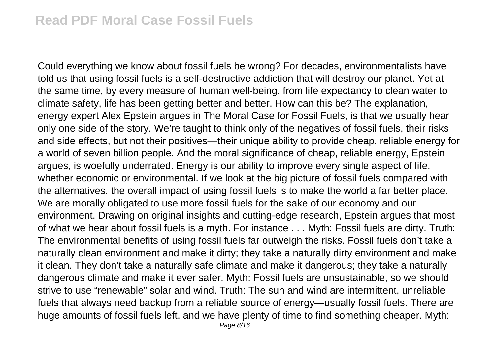Could everything we know about fossil fuels be wrong? For decades, environmentalists have told us that using fossil fuels is a self-destructive addiction that will destroy our planet. Yet at the same time, by every measure of human well-being, from life expectancy to clean water to climate safety, life has been getting better and better. How can this be? The explanation, energy expert Alex Epstein argues in The Moral Case for Fossil Fuels, is that we usually hear only one side of the story. We're taught to think only of the negatives of fossil fuels, their risks and side effects, but not their positives—their unique ability to provide cheap, reliable energy for a world of seven billion people. And the moral significance of cheap, reliable energy, Epstein argues, is woefully underrated. Energy is our ability to improve every single aspect of life, whether economic or environmental. If we look at the big picture of fossil fuels compared with the alternatives, the overall impact of using fossil fuels is to make the world a far better place. We are morally obligated to use more fossil fuels for the sake of our economy and our environment. Drawing on original insights and cutting-edge research, Epstein argues that most of what we hear about fossil fuels is a myth. For instance . . . Myth: Fossil fuels are dirty. Truth: The environmental benefits of using fossil fuels far outweigh the risks. Fossil fuels don't take a naturally clean environment and make it dirty; they take a naturally dirty environment and make it clean. They don't take a naturally safe climate and make it dangerous; they take a naturally dangerous climate and make it ever safer. Myth: Fossil fuels are unsustainable, so we should strive to use "renewable" solar and wind. Truth: The sun and wind are intermittent, unreliable fuels that always need backup from a reliable source of energy—usually fossil fuels. There are huge amounts of fossil fuels left, and we have plenty of time to find something cheaper. Myth: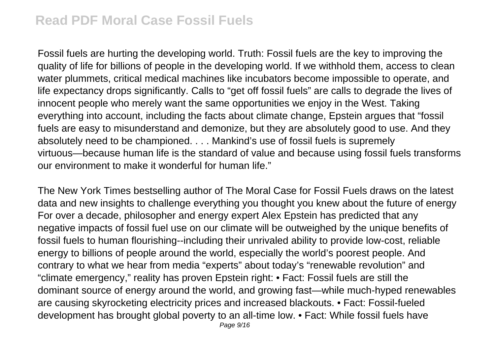Fossil fuels are hurting the developing world. Truth: Fossil fuels are the key to improving the quality of life for billions of people in the developing world. If we withhold them, access to clean water plummets, critical medical machines like incubators become impossible to operate, and life expectancy drops significantly. Calls to "get off fossil fuels" are calls to degrade the lives of innocent people who merely want the same opportunities we enjoy in the West. Taking everything into account, including the facts about climate change, Epstein argues that "fossil fuels are easy to misunderstand and demonize, but they are absolutely good to use. And they absolutely need to be championed. . . . Mankind's use of fossil fuels is supremely virtuous—because human life is the standard of value and because using fossil fuels transforms our environment to make it wonderful for human life."

The New York Times bestselling author of The Moral Case for Fossil Fuels draws on the latest data and new insights to challenge everything you thought you knew about the future of energy For over a decade, philosopher and energy expert Alex Epstein has predicted that any negative impacts of fossil fuel use on our climate will be outweighed by the unique benefits of fossil fuels to human flourishing--including their unrivaled ability to provide low-cost, reliable energy to billions of people around the world, especially the world's poorest people. And contrary to what we hear from media "experts" about today's "renewable revolution" and "climate emergency," reality has proven Epstein right: • Fact: Fossil fuels are still the dominant source of energy around the world, and growing fast—while much-hyped renewables are causing skyrocketing electricity prices and increased blackouts. • Fact: Fossil-fueled development has brought global poverty to an all-time low. • Fact: While fossil fuels have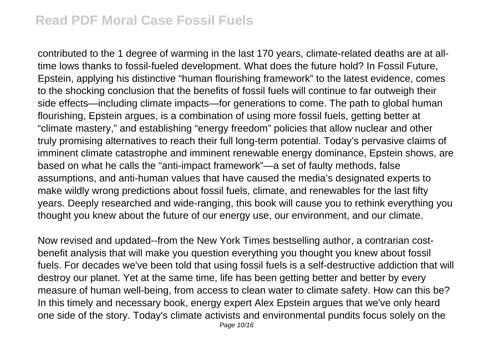contributed to the 1 degree of warming in the last 170 years, climate-related deaths are at alltime lows thanks to fossil-fueled development. What does the future hold? In Fossil Future, Epstein, applying his distinctive "human flourishing framework" to the latest evidence, comes to the shocking conclusion that the benefits of fossil fuels will continue to far outweigh their side effects—including climate impacts—for generations to come. The path to global human flourishing, Epstein argues, is a combination of using more fossil fuels, getting better at "climate mastery," and establishing "energy freedom" policies that allow nuclear and other truly promising alternatives to reach their full long-term potential. Today's pervasive claims of imminent climate catastrophe and imminent renewable energy dominance, Epstein shows, are based on what he calls the "anti-impact framework"—a set of faulty methods, false assumptions, and anti-human values that have caused the media's designated experts to make wildly wrong predictions about fossil fuels, climate, and renewables for the last fifty years. Deeply researched and wide-ranging, this book will cause you to rethink everything you thought you knew about the future of our energy use, our environment, and our climate.

Now revised and updated--from the New York Times bestselling author, a contrarian costbenefit analysis that will make you question everything you thought you knew about fossil fuels. For decades we've been told that using fossil fuels is a self-destructive addiction that will destroy our planet. Yet at the same time, life has been getting better and better by every measure of human well-being, from access to clean water to climate safety. How can this be? In this timely and necessary book, energy expert Alex Epstein argues that we've only heard one side of the story. Today's climate activists and environmental pundits focus solely on the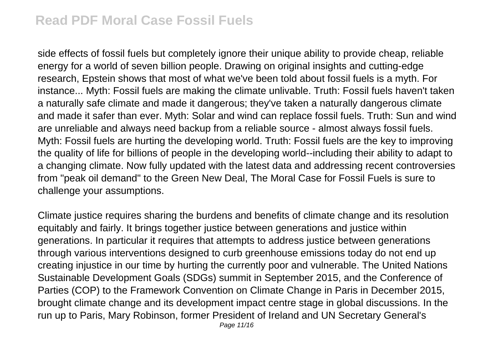side effects of fossil fuels but completely ignore their unique ability to provide cheap, reliable energy for a world of seven billion people. Drawing on original insights and cutting-edge research, Epstein shows that most of what we've been told about fossil fuels is a myth. For instance... Myth: Fossil fuels are making the climate unlivable. Truth: Fossil fuels haven't taken a naturally safe climate and made it dangerous; they've taken a naturally dangerous climate and made it safer than ever. Myth: Solar and wind can replace fossil fuels. Truth: Sun and wind are unreliable and always need backup from a reliable source - almost always fossil fuels. Myth: Fossil fuels are hurting the developing world. Truth: Fossil fuels are the key to improving the quality of life for billions of people in the developing world--including their ability to adapt to a changing climate. Now fully updated with the latest data and addressing recent controversies from "peak oil demand" to the Green New Deal, The Moral Case for Fossil Fuels is sure to challenge your assumptions.

Climate justice requires sharing the burdens and benefits of climate change and its resolution equitably and fairly. It brings together justice between generations and justice within generations. In particular it requires that attempts to address justice between generations through various interventions designed to curb greenhouse emissions today do not end up creating injustice in our time by hurting the currently poor and vulnerable. The United Nations Sustainable Development Goals (SDGs) summit in September 2015, and the Conference of Parties (COP) to the Framework Convention on Climate Change in Paris in December 2015, brought climate change and its development impact centre stage in global discussions. In the run up to Paris, Mary Robinson, former President of Ireland and UN Secretary General's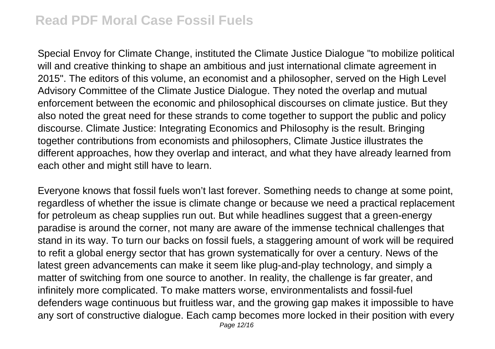Special Envoy for Climate Change, instituted the Climate Justice Dialogue "to mobilize political will and creative thinking to shape an ambitious and just international climate agreement in 2015". The editors of this volume, an economist and a philosopher, served on the High Level Advisory Committee of the Climate Justice Dialogue. They noted the overlap and mutual enforcement between the economic and philosophical discourses on climate justice. But they also noted the great need for these strands to come together to support the public and policy discourse. Climate Justice: Integrating Economics and Philosophy is the result. Bringing together contributions from economists and philosophers, Climate Justice illustrates the different approaches, how they overlap and interact, and what they have already learned from each other and might still have to learn.

Everyone knows that fossil fuels won't last forever. Something needs to change at some point, regardless of whether the issue is climate change or because we need a practical replacement for petroleum as cheap supplies run out. But while headlines suggest that a green-energy paradise is around the corner, not many are aware of the immense technical challenges that stand in its way. To turn our backs on fossil fuels, a staggering amount of work will be required to refit a global energy sector that has grown systematically for over a century. News of the latest green advancements can make it seem like plug-and-play technology, and simply a matter of switching from one source to another. In reality, the challenge is far greater, and infinitely more complicated. To make matters worse, environmentalists and fossil-fuel defenders wage continuous but fruitless war, and the growing gap makes it impossible to have any sort of constructive dialogue. Each camp becomes more locked in their position with every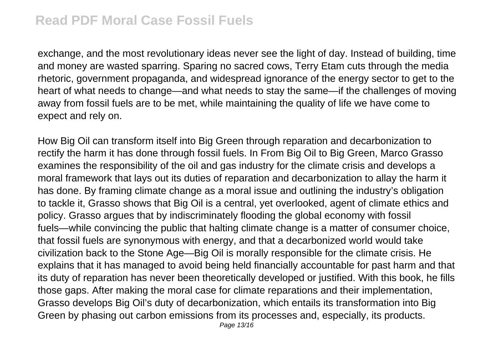exchange, and the most revolutionary ideas never see the light of day. Instead of building, time and money are wasted sparring. Sparing no sacred cows, Terry Etam cuts through the media rhetoric, government propaganda, and widespread ignorance of the energy sector to get to the heart of what needs to change—and what needs to stay the same—if the challenges of moving away from fossil fuels are to be met, while maintaining the quality of life we have come to expect and rely on.

How Big Oil can transform itself into Big Green through reparation and decarbonization to rectify the harm it has done through fossil fuels. In From Big Oil to Big Green, Marco Grasso examines the responsibility of the oil and gas industry for the climate crisis and develops a moral framework that lays out its duties of reparation and decarbonization to allay the harm it has done. By framing climate change as a moral issue and outlining the industry's obligation to tackle it, Grasso shows that Big Oil is a central, yet overlooked, agent of climate ethics and policy. Grasso argues that by indiscriminately flooding the global economy with fossil fuels—while convincing the public that halting climate change is a matter of consumer choice, that fossil fuels are synonymous with energy, and that a decarbonized world would take civilization back to the Stone Age—Big Oil is morally responsible for the climate crisis. He explains that it has managed to avoid being held financially accountable for past harm and that its duty of reparation has never been theoretically developed or justified. With this book, he fills those gaps. After making the moral case for climate reparations and their implementation, Grasso develops Big Oil's duty of decarbonization, which entails its transformation into Big Green by phasing out carbon emissions from its processes and, especially, its products. Page 13/16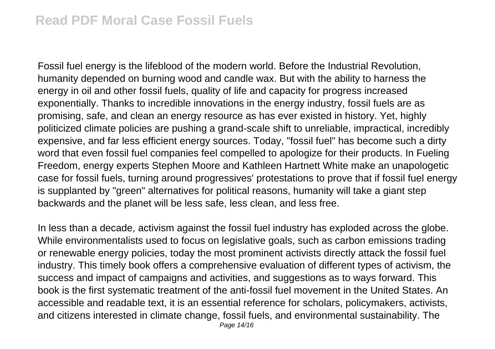Fossil fuel energy is the lifeblood of the modern world. Before the Industrial Revolution, humanity depended on burning wood and candle wax. But with the ability to harness the energy in oil and other fossil fuels, quality of life and capacity for progress increased exponentially. Thanks to incredible innovations in the energy industry, fossil fuels are as promising, safe, and clean an energy resource as has ever existed in history. Yet, highly politicized climate policies are pushing a grand-scale shift to unreliable, impractical, incredibly expensive, and far less efficient energy sources. Today, "fossil fuel" has become such a dirty word that even fossil fuel companies feel compelled to apologize for their products. In Fueling Freedom, energy experts Stephen Moore and Kathleen Hartnett White make an unapologetic case for fossil fuels, turning around progressives' protestations to prove that if fossil fuel energy is supplanted by "green" alternatives for political reasons, humanity will take a giant step backwards and the planet will be less safe, less clean, and less free.

In less than a decade, activism against the fossil fuel industry has exploded across the globe. While environmentalists used to focus on legislative goals, such as carbon emissions trading or renewable energy policies, today the most prominent activists directly attack the fossil fuel industry. This timely book offers a comprehensive evaluation of different types of activism, the success and impact of campaigns and activities, and suggestions as to ways forward. This book is the first systematic treatment of the anti-fossil fuel movement in the United States. An accessible and readable text, it is an essential reference for scholars, policymakers, activists, and citizens interested in climate change, fossil fuels, and environmental sustainability. The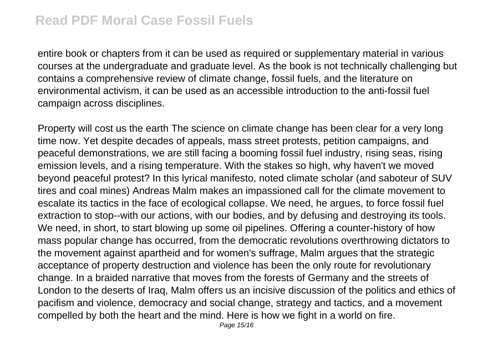entire book or chapters from it can be used as required or supplementary material in various courses at the undergraduate and graduate level. As the book is not technically challenging but contains a comprehensive review of climate change, fossil fuels, and the literature on environmental activism, it can be used as an accessible introduction to the anti-fossil fuel campaign across disciplines.

Property will cost us the earth The science on climate change has been clear for a very long time now. Yet despite decades of appeals, mass street protests, petition campaigns, and peaceful demonstrations, we are still facing a booming fossil fuel industry, rising seas, rising emission levels, and a rising temperature. With the stakes so high, why haven't we moved beyond peaceful protest? In this lyrical manifesto, noted climate scholar (and saboteur of SUV tires and coal mines) Andreas Malm makes an impassioned call for the climate movement to escalate its tactics in the face of ecological collapse. We need, he argues, to force fossil fuel extraction to stop--with our actions, with our bodies, and by defusing and destroying its tools. We need, in short, to start blowing up some oil pipelines. Offering a counter-history of how mass popular change has occurred, from the democratic revolutions overthrowing dictators to the movement against apartheid and for women's suffrage, Malm argues that the strategic acceptance of property destruction and violence has been the only route for revolutionary change. In a braided narrative that moves from the forests of Germany and the streets of London to the deserts of Iraq, Malm offers us an incisive discussion of the politics and ethics of pacifism and violence, democracy and social change, strategy and tactics, and a movement compelled by both the heart and the mind. Here is how we fight in a world on fire.